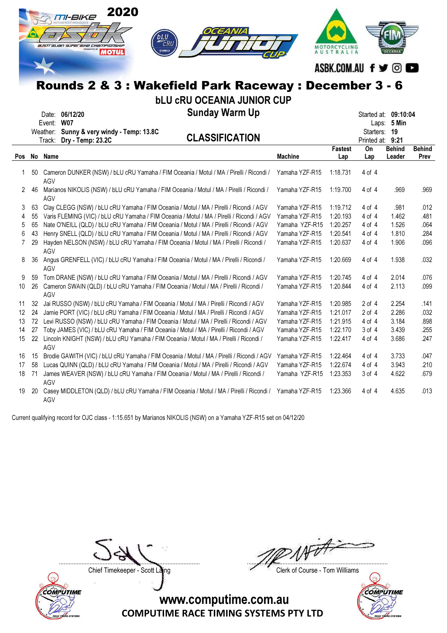|     |    | 2020<br><i>TI-BIKE</i><br>$\epsilon$ RU<br>australian superaixe championship<br><i><b>MOTUL</b></i><br>Rounds 2 & 3 : Wakefield Park Raceway : December 3 - 6<br><b>bLU CRU OCEANIA JUNIOR CUP</b> |                | MOTORCYCLING<br>AUSTRALIA | ASBK.COM.AU f y ©      |               |               |
|-----|----|----------------------------------------------------------------------------------------------------------------------------------------------------------------------------------------------------|----------------|---------------------------|------------------------|---------------|---------------|
|     |    | <b>Sunday Warm Up</b><br>Date: 06/12/20                                                                                                                                                            |                |                           | Started at: 09:10:04   |               |               |
|     |    | Event: W07                                                                                                                                                                                         |                |                           |                        | Laps: 5 Min   |               |
|     |    | Weather: Sunny & very windy - Temp: 13.8C<br><b>CLASSIFICATION</b>                                                                                                                                 |                |                           | Starters: 19           |               |               |
|     |    | Dry - Temp: 23.2C<br>Track:                                                                                                                                                                        |                | <b>Fastest</b>            | Printed at: 9:21<br>On | <b>Behind</b> | <b>Behind</b> |
| Pos |    | No Name                                                                                                                                                                                            | <b>Machine</b> | Lap                       | Lap                    | Leader        | Prev          |
|     |    |                                                                                                                                                                                                    |                |                           |                        |               |               |
| 1   |    | 50 Cameron DUNKER (NSW) / bLU cRU Yamaha / FIM Oceania / Motul / MA / Pirelli / Ricondi /<br>AGV                                                                                                   | Yamaha YZF-R15 | 1:18.731                  | $4$ of $4$             |               |               |
| 2   | 46 | Marianos NIKOLIS (NSW) / bLU cRU Yamaha / FIM Oceania / Motul / MA / Pirelli / Ricondi /                                                                                                           | Yamaha YZF-R15 | 1:19.700                  | 4 of 4                 | .969          | .969          |
|     |    | AGV                                                                                                                                                                                                |                |                           |                        |               |               |
| 3   | 63 | Clay CLEGG (NSW) / bLU cRU Yamaha / FIM Oceania / Motul / MA / Pirelli / Ricondi / AGV                                                                                                             | Yamaha YZF-R15 | 1:19.712                  | 4 of 4                 | .981          | .012          |
| 4   | 55 | Varis FLEMING (VIC) / bLU cRU Yamaha / FIM Oceania / Motul / MA / Pirelli / Ricondi / AGV                                                                                                          | Yamaha YZF-R15 | 1:20.193                  | 4 of 4                 | 1.462         | .481          |
| 5   | 65 | Nate O'NEILL (QLD) / bLU cRU Yamaha / FIM Oceania / Motul / MA / Pirelli / Ricondi / AGV                                                                                                           | Yamaha YZF-R15 | 1:20.257                  | 4 of 4                 | 1.526         | .064          |
| 6   | 43 | Henry SNELL (QLD) / bLU cRU Yamaha / FIM Oceania / Motul / MA / Pirelli / Ricondi / AGV                                                                                                            | Yamaha YZF-R15 | 1:20.541                  | 4 of 4                 | 1.810         | .284          |
| 7   | 29 | Hayden NELSON (NSW) / bLU cRU Yamaha / FIM Oceania / Motul / MA / Pirelli / Ricondi /<br>AGV                                                                                                       | Yamaha YZF-R15 | 1:20.637                  | 4 of 4                 | 1.906         | .096          |
| 8   | 36 | Angus GRENFELL (VIC) / bLU cRU Yamaha / FIM Oceania / Motul / MA / Pirelli / Ricondi /<br>AGV                                                                                                      | Yamaha YZF-R15 | 1:20.669                  | 4 of 4                 | 1.938         | .032          |
| 9   |    | 59 Tom DRANE (NSW) / bLU cRU Yamaha / FIM Oceania / Motul / MA / Pirelli / Ricondi / AGV                                                                                                           | Yamaha YZF-R15 | 1:20.745                  | 4 of 4                 | 2.014         | .076          |
| 10  | 26 | Cameron SWAIN (QLD) / bLU cRU Yamaha / FIM Oceania / Motul / MA / Pirelli / Ricondi /<br>AGV                                                                                                       | Yamaha YZF-R15 | 1:20.844                  | 4 of 4                 | 2.113         | .099          |
| 11  | 32 | Jai RUSSO (NSW) / bLU cRU Yamaha / FIM Oceania / Motul / MA / Pirelli / Ricondi / AGV                                                                                                              | Yamaha YZF-R15 | 1:20.985                  | $2$ of $4$             | 2.254         | .141          |
| 12  | 24 | Jamie PORT (VIC) / bLU cRU Yamaha / FIM Oceania / Motul / MA / Pirelli / Ricondi / AGV                                                                                                             | Yamaha YZF-R15 | 1:21.017                  | $2$ of $4$             | 2.286         | .032          |
| 13  |    | 72 Levi RUSSO (NSW) / bLU cRU Yamaha / FIM Oceania / Motul / MA / Pirelli / Ricondi / AGV                                                                                                          | Yamaha YZF-R15 | 1:21.915                  | 4 of 4                 | 3.184         | .898          |
| 14  |    | 27 Toby JAMES (VIC) / bLU cRU Yamaha / FIM Oceania / Motul / MA / Pirelli / Ricondi / AGV                                                                                                          | Yamaha YZF-R15 | 1:22.170                  | $3$ of $4$             | 3.439         | .255          |
| 15  |    | 22 Lincoln KNIGHT (NSW) / bLU cRU Yamaha / FIM Oceania / Motul / MA / Pirelli / Ricondi /<br>AGV                                                                                                   | Yamaha YZF-R15 | 1:22.417                  | 4 of 4                 | 3.686         | .247          |
| 16  | 15 | Brodie GAWITH (VIC) / bLU cRU Yamaha / FIM Oceania / Motul / MA / Pirelli / Ricondi / AGV                                                                                                          | Yamaha YZF-R15 | 1:22.464                  | 4 of 4                 | 3.733         | .047          |
| 17  |    | 58 Lucas QUINN (QLD) / bLU cRU Yamaha / FIM Oceania / Motul / MA / Pirelli / Ricondi / AGV                                                                                                         | Yamaha YZF-R15 | 1:22.674                  | 4 of 4                 | 3.943         | .210          |
| 18  | 71 | James WEAVER (NSW) / bLU cRU Yamaha / FIM Oceania / Motul / MA / Pirelli / Ricondi /<br>AGV                                                                                                        | Yamaha YZF-R15 | 1:23.353                  | 3 of 4                 | 4.622         | .679          |
| 19  | 20 | Casey MIDDLETON (QLD) / bLU cRU Yamaha / FIM Oceania / Motul / MA / Pirelli / Ricondi / Yamaha YZF-R15<br>AGV                                                                                      |                | 1:23.366                  | 4 of 4                 | 4.635         | .013          |

Current qualifying record for OJC class - 1:15.651 by Marianos NIKOLIS (NSW) on a Yamaha YZF-R15 set on 04/12/20



....................................................................................... .......................................................................................

Chief Timekeeper - Scott Laing Chief Timekeeper - Scott Laing

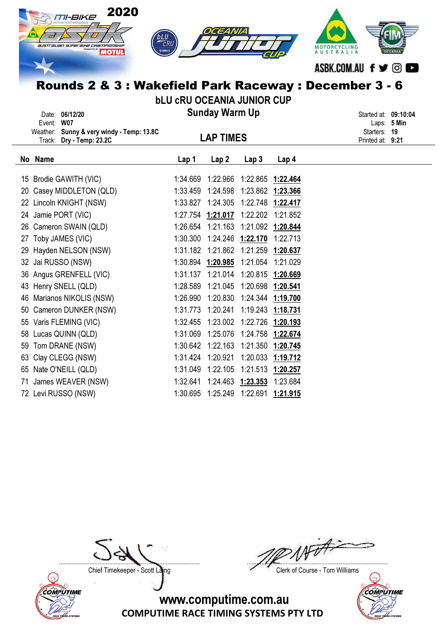|    | 2020<br>M-BIKE<br>australian superaixe championsxip<br><b>MOTUL</b><br>Rounds 2 & 3 : Wakefield Park Raceway : December 3 - 6 | bLU<br>CRU<br><b>EYAMAH</b><br><b>bLU CRU OCEANIA JUNIOR CUP</b> |                                        |                            |                   | AUSTRALIA<br>ASBK.COM.AU f y © |  |
|----|-------------------------------------------------------------------------------------------------------------------------------|------------------------------------------------------------------|----------------------------------------|----------------------------|-------------------|--------------------------------|--|
|    | Date: 06/12/20                                                                                                                |                                                                  | <b>Sunday Warm Up</b>                  |                            |                   | Started at: 09:10:04           |  |
|    | Event: W07<br>Weather: Sunny & very windy - Temp: 13.8C                                                                       |                                                                  |                                        |                            |                   | Laps: 5 Min<br>Starters: 19    |  |
|    | Track: Dry - Temp: 23.2C                                                                                                      |                                                                  | <b>LAP TIMES</b>                       |                            |                   | Printed at: 9:21               |  |
|    | No Name                                                                                                                       | Lap 1                                                            | Lap <sub>2</sub>                       | Lap <sub>3</sub>           | Lap <sub>4</sub>  |                                |  |
|    | 15 Brodie GAWITH (VIC)                                                                                                        |                                                                  | 1:34.669 1:22.966 1:22.865 1:22.464    |                            |                   |                                |  |
|    | 20 Casey MIDDLETON (QLD)                                                                                                      |                                                                  | 1:33.459  1:24.598  1:23.862  1:23.366 |                            |                   |                                |  |
|    | 22 Lincoln KNIGHT (NSW)                                                                                                       | 1:33.827                                                         | 1:24.305  1:22.748  1:22.417           |                            |                   |                                |  |
|    | 24 Jamie PORT (VIC)                                                                                                           |                                                                  | 1:27.754 1:21.017 1:22.202 1:21.852    |                            |                   |                                |  |
|    | 26 Cameron SWAIN (QLD)                                                                                                        |                                                                  | 1:26.654 1:21.163 1:21.092 1:20.844    |                            |                   |                                |  |
|    | 27 Toby JAMES (VIC)                                                                                                           | 1:30.300                                                         | 1:24.246 1:22.170                      |                            | 1:22.713          |                                |  |
|    | 29 Hayden NELSON (NSW)                                                                                                        |                                                                  | 1:31.182 1:21.862 1:21.259 1:20.637    |                            |                   |                                |  |
|    | 32 Jai RUSSO (NSW)                                                                                                            |                                                                  | 1:30.894 1:20.985 1:21.054 1:21.029    |                            |                   |                                |  |
|    | 36 Angus GRENFELL (VIC)                                                                                                       |                                                                  | 1:31.137 1:21.014 1:20.815 1:20.669    |                            |                   |                                |  |
|    | 43 Henry SNELL (QLD)                                                                                                          | 1:28.589                                                         |                                        | 1:21.045 1:20.698 1:20.541 |                   |                                |  |
| 46 | Marianos NIKOLIS (NSW)                                                                                                        |                                                                  | 1:26.990 1:20.830 1:24.344 1:19.700    |                            |                   |                                |  |
|    | 50 Cameron DUNKER (NSW)                                                                                                       | 1:31.773                                                         | 1:20.241                               |                            | 1:19.243 1:18.731 |                                |  |
|    | 55 Varis FLEMING (VIC)                                                                                                        | 1:32.455                                                         | 1:23.002                               | 1:22.726                   | 1:20.193          |                                |  |
|    | 58 Lucas QUINN (QLD)                                                                                                          | 1:31.069                                                         | 1:25.076  1:24.758  1:22.674           |                            |                   |                                |  |
|    | 59 Tom DRANE (NSW)                                                                                                            |                                                                  | 1:30.642 1:22.163 1:21.350 1:20.745    |                            |                   |                                |  |
|    | 63 Clay CLEGG (NSW)                                                                                                           |                                                                  | 1:31.424 1:20.921                      |                            | 1:20.033 1:19.712 |                                |  |
|    | 65 Nate O'NEILL (QLD)                                                                                                         | 1:31.049                                                         | 1:22.105                               | 1:21.513 1:20.257          |                   |                                |  |
|    | 71 James WEAVER (NSW)                                                                                                         |                                                                  | 1:32.641  1:24.463  1:23.353  1:23.684 |                            |                   |                                |  |

72 Levi RUSSO (NSW) 1:30.695 1:25.249 1:22.691 1:21.915



....................................................................................... .......................................................................................

Chief Timekeeper - Scott Laing Chief Timekeeper - Scott Laing

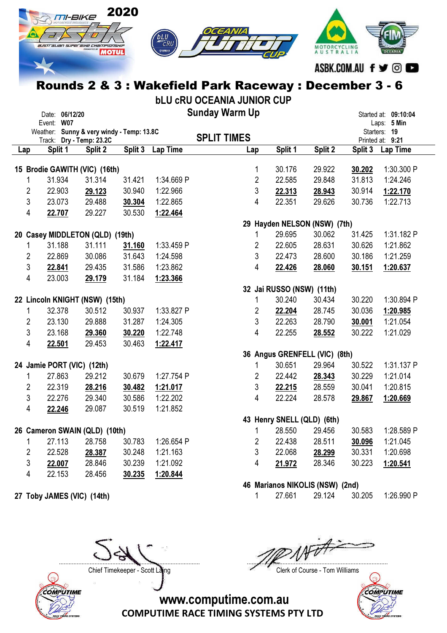

Rounds 2 & 3 : Wakefield Park Raceway : December 3 - 6

bLU cRU OCEANIA JUNIOR CUP

|     | Event: W07                 | Date: 06/12/20 |                                           |         |            | <b>Sunday Warm Up</b> |                |                            |                                 |         | Started at: 09:10:04<br>Laps: 5 Min |
|-----|----------------------------|----------------|-------------------------------------------|---------|------------|-----------------------|----------------|----------------------------|---------------------------------|---------|-------------------------------------|
|     |                            |                | Weather: Sunny & very windy - Temp: 13.8C |         |            | <b>SPLIT TIMES</b>    |                |                            |                                 |         | Starters: 19                        |
| Lap | Split 1                    |                | Track: Dry - Temp: 23.2C<br>Split 2       | Split 3 | Lap Time   |                       | Lap            | Split 1                    | Split 2                         | Split 3 | Printed at: 9:21<br><b>Lap Time</b> |
|     |                            |                |                                           |         |            |                       |                |                            |                                 |         |                                     |
|     |                            |                | 15 Brodie GAWITH (VIC) (16th)             |         |            |                       | 1              | 30.176                     | 29.922                          | 30.202  | 1:30.300 P                          |
|     | 31.934<br>1                |                | 31.314                                    | 31.421  | 1:34.669 P |                       | $\overline{2}$ | 22.585                     | 29.848                          | 31.813  | 1:24.246                            |
|     | $\overline{c}$<br>22.903   |                | 29.123                                    | 30.940  | 1:22.966   |                       | 3              | 22.313                     | 28.943                          | 30.914  | 1:22.170                            |
|     | 3<br>23.073                |                | 29.488                                    | 30.304  | 1:22.865   |                       | 4              | 22.351                     | 29.626                          | 30.736  | 1:22.713                            |
|     | 4<br>22.707                |                | 29.227                                    | 30.530  | 1:22.464   |                       |                |                            |                                 |         |                                     |
|     |                            |                |                                           |         |            |                       |                |                            | 29 Hayden NELSON (NSW) (7th)    |         |                                     |
|     |                            |                | 20 Casey MIDDLETON (QLD) (19th)           |         |            |                       | 1              | 29.695                     | 30.062                          | 31.425  | 1:31.182 P                          |
|     | 31.188<br>1                |                | 31.111                                    | 31.160  | 1:33.459 P |                       | $\overline{2}$ | 22.605                     | 28.631                          | 30.626  | 1:21.862                            |
|     | 2<br>22.869                |                | 30.086                                    | 31.643  | 1:24.598   |                       | 3              | 22.473                     | 28.600                          | 30.186  | 1:21.259                            |
|     | 3<br>22.841                |                | 29.435                                    | 31.586  | 1:23.862   |                       | 4              | 22.426                     | 28.060                          | 30.151  | 1:20.637                            |
|     | 4<br>23.003                |                | 29.179                                    | 31.184  | 1:23.366   |                       |                |                            |                                 |         |                                     |
|     |                            |                |                                           |         |            |                       |                | 32 Jai RUSSO (NSW) (11th)  |                                 |         |                                     |
|     |                            |                | 22 Lincoln KNIGHT (NSW) (15th)            |         |            |                       | 1              | 30.240                     | 30.434                          | 30.220  | 1:30.894 P                          |
|     | 32.378<br>1                |                | 30.512                                    | 30.937  | 1:33.827 P |                       | 2              | 22.204                     | 28.745                          | 30.036  | 1:20.985                            |
|     | 2<br>23.130                |                | 29.888                                    | 31.287  | 1:24.305   |                       | 3              | 22.263                     | 28.790                          | 30.001  | 1:21.054                            |
|     | 3<br>23.168                |                | 29.360                                    | 30.220  | 1:22.748   |                       | 4              | 22.255                     | 28.552                          | 30.222  | 1:21.029                            |
|     | 4<br>22.501                |                | 29.453                                    | 30.463  | 1:22.417   |                       |                |                            |                                 |         |                                     |
|     |                            |                |                                           |         |            |                       |                |                            | 36 Angus GRENFELL (VIC) (8th)   |         |                                     |
|     | 24 Jamie PORT (VIC) (12th) |                |                                           |         |            |                       | 1              | 30.651                     | 29.964                          | 30.522  | 1:31.137 P                          |
|     | 27.863<br>1                |                | 29.212                                    | 30.679  | 1:27.754 P |                       | 2              | 22.442                     | 28.343                          | 30.229  | 1:21.014                            |
|     | 22.319<br>2                |                | 28.216                                    | 30.482  | 1:21.017   |                       | 3              | 22.215                     | 28.559                          | 30.041  | 1:20.815                            |
|     | 3<br>22.276                |                | 29.340                                    | 30.586  | 1:22.202   |                       | 4              | 22.224                     | 28.578                          | 29.867  | 1:20.669                            |
|     | 4<br>22.246                |                | 29.087                                    | 30.519  | 1:21.852   |                       |                |                            |                                 |         |                                     |
|     |                            |                |                                           |         |            |                       |                | 43 Henry SNELL (QLD) (6th) |                                 |         |                                     |
|     |                            |                | 26 Cameron SWAIN (QLD) (10th)             |         |            |                       | 1              | 28.550                     | 29.456                          | 30.583  | 1:28.589 P                          |
|     | $1 \quad$                  |                | 27.113 28.758                             | 30.783  | 1:26.654 P |                       | 2              | 22.438                     | 28.511                          | 30.096  | 1:21.045                            |
|     | 2<br>22.528                |                | 28.387                                    | 30.248  | 1:21.163   |                       | 3              | 22.068                     | 28.299                          | 30.331  | 1:20.698                            |
|     | 3<br>22.007                |                | 28.846                                    | 30.239  | 1:21.092   |                       | 4              | 21.972                     | 28.346                          | 30.223  | 1:20.541                            |
|     | 4<br>22.153                |                | 28.456                                    | 30.235  | 1:20.844   |                       |                |                            |                                 |         |                                     |
|     |                            |                |                                           |         |            |                       |                |                            | 46 Marianos NIKOLIS (NSW) (2nd) |         |                                     |
|     | 27 Toby JAMES (VIC) (14th) |                |                                           |         |            |                       | $\mathbf{1}$   | 27.661                     | 29.124                          | 30.205  | 1:26.990 P                          |



Chief Timekeeper - Scott Laing Chief Timekeeper - Scott Laing

....................................................................................... .......................................................................................

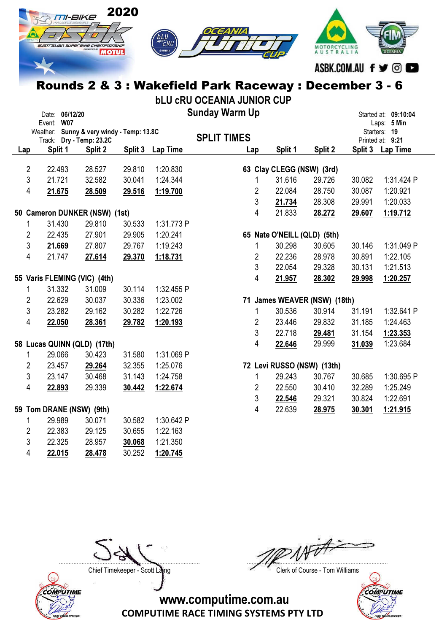

Rounds 2 & 3 : Wakefield Park Raceway : December 3 - 6

|     |                | Date: 06/12/20 |                                                                       |         |            | <b>Sunday Warm Up</b> |                |                             |                              |        | Started at: 09:10:04             |
|-----|----------------|----------------|-----------------------------------------------------------------------|---------|------------|-----------------------|----------------|-----------------------------|------------------------------|--------|----------------------------------|
|     |                | Event: W07     |                                                                       |         |            |                       |                |                             |                              |        | Laps: 5 Min                      |
|     |                |                | Weather: Sunny & very windy - Temp: 13.8C<br>Track: Dry - Temp: 23.2C |         |            | <b>SPLIT TIMES</b>    |                |                             |                              |        | Starters: 19<br>Printed at: 9:21 |
| Lap |                | Split 1        | Split 2                                                               | Split 3 | Lap Time   | Lap                   |                | Split 1                     | Split 2                      |        | Split 3 Lap Time                 |
|     |                |                |                                                                       |         |            |                       |                |                             |                              |        |                                  |
|     | $\overline{2}$ | 22.493         | 28.527                                                                | 29.810  | 1:20.830   |                       |                | 63 Clay CLEGG (NSW) (3rd)   |                              |        |                                  |
|     | $\mathbf{3}$   | 21.721         | 32.582                                                                | 30.041  | 1:24.344   |                       | 1              | 31.616                      | 29.726                       | 30.082 | 1:31.424 P                       |
|     | 4              | 21.675         | 28.509                                                                | 29.516  | 1:19.700   |                       | 2              | 22.084                      | 28.750                       | 30.087 | 1:20.921                         |
|     |                |                |                                                                       |         |            |                       | 3              | 21.734                      | 28.308                       | 29.991 | 1:20.033                         |
|     |                |                | 50 Cameron DUNKER (NSW) (1st)                                         |         |            |                       | 4              | 21.833                      | 28.272                       | 29.607 | 1:19.712                         |
|     | 1              | 31.430         | 29.810                                                                | 30.533  | 1:31.773 P |                       |                |                             |                              |        |                                  |
|     | $\overline{2}$ | 22.435         | 27.901                                                                | 29.905  | 1:20.241   |                       |                | 65 Nate O'NEILL (QLD) (5th) |                              |        |                                  |
|     | $\mathbf{3}$   | 21.669         | 27.807                                                                | 29.767  | 1:19.243   |                       | 1              | 30.298                      | 30.605                       | 30.146 | 1:31.049 P                       |
|     | 4              | 21.747         | 27.614                                                                | 29.370  | 1:18.731   |                       | 2              | 22.236                      | 28.978                       | 30.891 | 1:22.105                         |
|     |                |                |                                                                       |         |            |                       | 3              | 22.054                      | 29.328                       | 30.131 | 1:21.513                         |
|     |                |                | 55 Varis FLEMING (VIC) (4th)                                          |         |            |                       | 4              | 21.957                      | 28.302                       | 29.998 | 1:20.257                         |
|     | 1              | 31.332         | 31.009                                                                | 30.114  | 1:32.455 P |                       |                |                             |                              |        |                                  |
|     | $\overline{2}$ | 22.629         | 30.037                                                                | 30.336  | 1:23.002   |                       |                |                             | 71 James WEAVER (NSW) (18th) |        |                                  |
|     | $\mathfrak{S}$ | 23.282         | 29.162                                                                | 30.282  | 1:22.726   |                       | 1              | 30.536                      | 30.914                       | 31.191 | 1:32.641 P                       |
|     | 4              | 22.050         | 28.361                                                                | 29.782  | 1:20.193   |                       | $\overline{2}$ | 23.446                      | 29.832                       | 31.185 | 1:24.463                         |
|     |                |                |                                                                       |         |            |                       | 3              | 22.718                      | 29.481                       | 31.154 | 1:23.353                         |
|     |                |                | 58 Lucas QUINN (QLD) (17th)                                           |         |            |                       | 4              | 22.646                      | 29.999                       | 31.039 | 1:23.684                         |
|     | 1              | 29.066         | 30.423                                                                | 31.580  | 1:31.069 P |                       |                |                             |                              |        |                                  |
|     | $\overline{2}$ | 23.457         | 29.264                                                                | 32.355  | 1:25.076   |                       |                | 72 Levi RUSSO (NSW) (13th)  |                              |        |                                  |
|     | 3              | 23.147         | 30.468                                                                | 31.143  | 1:24.758   |                       | 1              | 29.243                      | 30.767                       | 30.685 | 1:30.695 P                       |
|     | $\overline{4}$ | 22.893         | 29.339                                                                | 30.442  | 1:22.674   |                       | 2              | 22.550                      | 30.410                       | 32.289 | 1:25.249                         |
|     |                |                |                                                                       |         |            |                       | 3              | 22.546                      | 29.321                       | 30.824 | 1:22.691                         |
|     |                |                | 59 Tom DRANE (NSW) (9th)                                              |         |            |                       | 4              | 22.639                      | 28.975                       | 30.301 | 1:21.915                         |
|     | 1              | 29.989         | 30.071                                                                | 30.582  | 1:30.642 P |                       |                |                             |                              |        |                                  |
|     | 2              | 22.383         | 29.125                                                                | 30.655  | 1:22.163   |                       |                |                             |                              |        |                                  |
|     | 3              | 22.325         | 28.957                                                                | 30.068  | 1:21.350   |                       |                |                             |                              |        |                                  |
|     | 4              | 22.015         | 28.478                                                                | 30.252  | 1:20.745   |                       |                |                             |                              |        |                                  |



....................................................................................... .......................................................................................

Chief Timekeeper - Scott Laing Chief Timekeeper - Scott Laing



www.computime.com.au

COMPUTIME RACE TIMING SYSTEMS PTY LTD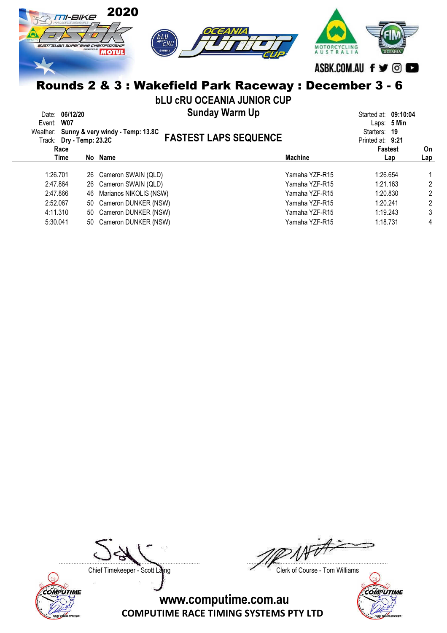| 2020<br>TI-BIKE                                        |                                                        |                   |
|--------------------------------------------------------|--------------------------------------------------------|-------------------|
| 414572221<br><b>australian super BiHe CHampionsHiP</b> | OCEANIA<br><b>SYAMAHA</b>                              |                   |
|                                                        |                                                        | ASBK.COM.AU f y © |
|                                                        | Rounds 2 & 3 : Wakefield Park Raceway : December 3 - 6 |                   |

bLU cRU OCEANIA JUNIOR CUP

| Date: 06/12/20<br>Event: W07<br>Track: Dry - Temp: 23.2C | <b>Sunday Warm Up</b><br>Weather: Sunny & very windy - Temp: 13.8C<br><b>FASTEST LAPS SEQUENCE</b> |                | Started at: 09:10:04<br>Laps: $5$ Min<br>Starters: 19<br>Printed at: 9:21 |     |
|----------------------------------------------------------|----------------------------------------------------------------------------------------------------|----------------|---------------------------------------------------------------------------|-----|
| Race                                                     |                                                                                                    |                | Fastest                                                                   | On  |
| Time                                                     | No Name                                                                                            | <b>Machine</b> | Lap                                                                       | Lap |
| 1:26.701                                                 | 26 Cameron SWAIN (QLD)                                                                             | Yamaha YZF-R15 | 1:26.654                                                                  |     |
| 2:47.864                                                 | 26 Cameron SWAIN (QLD)                                                                             | Yamaha YZF-R15 | 1:21.163                                                                  | 2   |
| 2:47.866                                                 | 46 Marianos NIKOLIS (NSW)                                                                          | Yamaha YZF-R15 | 1:20.830                                                                  | 2   |
| 2:52.067                                                 | 50 Cameron DUNKER (NSW)                                                                            | Yamaha YZF-R15 | 1:20.241                                                                  | 2   |
| 4:11.310                                                 | 50 Cameron DUNKER (NSW)                                                                            | Yamaha YZF-R15 | 1:19.243                                                                  | 3   |
| 5:30.041                                                 | 50 Cameron DUNKER (NSW)                                                                            | Yamaha YZF-R15 | 1:18.731                                                                  | 4   |

COMPUTIME

....................................................................................... .......................................................................................

Chief Timekeeper - Scott Laing Chief Timekeeper - Scott Laing

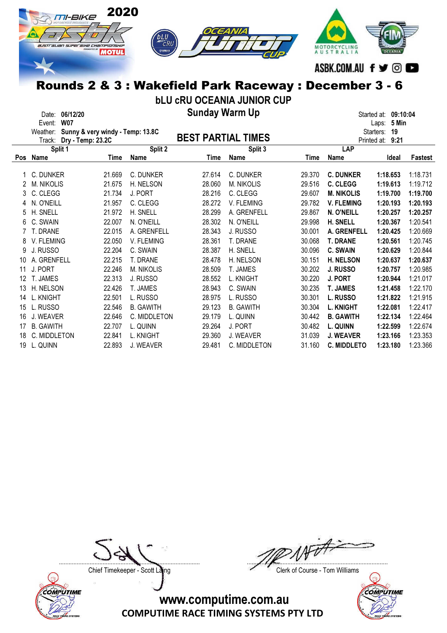

## Rounds 2 & 3 : Wakefield Park Raceway : December 3 - 6

bLU cRU OCEANIA JUNIOR CUP

Sunday Warm Up Date: 06/12/20 Started at: 09:10:04

|            | Event:<br><b>W07</b>                         |        |                  |                           |                   |        |                    | 5 Min<br>Laps:      |          |
|------------|----------------------------------------------|--------|------------------|---------------------------|-------------------|--------|--------------------|---------------------|----------|
|            | Weather:<br>Sunny & very windy - Temp: 13.8C |        |                  |                           |                   |        |                    | 19<br>Starters:     |          |
|            | Dry - Temp: 23.2C<br>Track:                  |        |                  | <b>BEST PARTIAL TIMES</b> |                   |        |                    | 9:21<br>Printed at: |          |
|            | Split 1                                      |        | Split 2          |                           | Split 3           |        | LAP                |                     |          |
| <b>Pos</b> | Name                                         | Time   | Name             | Time                      | Name              | Time   | Name               | Ideal               | Fastest  |
|            |                                              |        |                  |                           |                   |        |                    |                     |          |
|            | C. DUNKER                                    | 21.669 | C. DUNKER        | 27.614                    | C. DUNKER         | 29.370 | <b>C. DUNKER</b>   | 1:18.653            | 1:18.731 |
|            | <b>M. NIKOLIS</b>                            | 21.675 | H. NELSON        | 28.060                    | <b>M. NIKOLIS</b> | 29.516 | <b>C. CLEGG</b>    | 1:19.613            | 1:19.712 |
| 3          | C. CLEGG                                     | 21.734 | J. PORT          | 28.216                    | C. CLEGG          | 29.607 | <b>M. NIKOLIS</b>  | 1:19.700            | 1:19.700 |
| 4          | N. O'NEILL                                   | 21.957 | C. CLEGG         | 28.272                    | V. FLEMING        | 29.782 | <b>V. FLEMING</b>  | 1:20.193            | 1:20.193 |
| 5          | H. SNELL                                     | 21.972 | H. SNELL         | 28.299                    | A. GRENFELL       | 29.867 | N. O'NEILL         | 1:20.257            | 1:20.257 |
| 6          | C. SWAIN                                     | 22,007 | N. O'NEILL       | 28.302                    | N. O'NEILL        | 29.998 | <b>H. SNELL</b>    | 1:20.367            | 1:20.541 |
|            | T. DRANE                                     | 22.015 | A. GRENFELL      | 28.343                    | J. RUSSO          | 30.001 | A. GRENFELL        | 1:20.425            | 1:20.669 |
| 8          | V. FLEMING                                   | 22.050 | V. FLEMING       | 28.361                    | T. DRANE          | 30.068 | <b>T. DRANE</b>    | 1:20.561            | 1:20.745 |
| 9          | J. RUSSO                                     | 22.204 | C. SWAIN         | 28.387                    | H. SNELL          | 30.096 | <b>C. SWAIN</b>    | 1:20.629            | 1:20.844 |
| 10         | A. GRENFELL                                  | 22.215 | T. DRANE         | 28.478                    | H. NELSON         | 30.151 | <b>H. NELSON</b>   | 1:20.637            | 1:20.637 |
| 11         | J. PORT                                      | 22.246 | M. NIKOLIS       | 28.509                    | T. JAMES          | 30.202 | J. RUSSO           | 1:20.757            | 1:20.985 |
| 12         | T. JAMES                                     | 22.313 | J. RUSSO         | 28.552                    | L. KNIGHT         | 30.220 | J. PORT            | 1:20.944            | 1:21.017 |
| 13         | H. NELSON                                    | 22.426 | T. JAMES         | 28.943                    | C. SWAIN          | 30.235 | <b>T. JAMES</b>    | 1:21.458            | 1:22.170 |
| 14         | L. KNIGHT                                    | 22.501 | L. RUSSO         | 28.975                    | L. RUSSO          | 30.301 | <b>L. RUSSO</b>    | 1:21.822            | 1:21.915 |
| 15         | L. RUSSO                                     | 22.546 | <b>B. GAWITH</b> | 29.123                    | <b>B. GAWITH</b>  | 30.304 | <b>L. KNIGHT</b>   | 1:22.081            | 1:22.417 |
| 16         | J. WEAVER                                    | 22.646 | C. MIDDLETON     | 29.179                    | L. QUINN          | 30.442 | <b>B. GAWITH</b>   | 1:22.134            | 1:22.464 |
| 17         | <b>B. GAWITH</b>                             | 22.707 | L. QUINN         | 29.264                    | J. PORT           | 30.482 | L. QUINN           | 1:22.599            | 1:22.674 |
| 18         | C. MIDDLETON                                 | 22.841 | L. KNIGHT        | 29.360                    | J. WEAVER         | 31.039 | <b>J. WEAVER</b>   | 1:23.166            | 1:23.353 |
| 19         | L. QUINN                                     | 22.893 | J. WEAVER        | 29.481                    | C. MIDDLETON      | 31.160 | <b>C. MIDDLETO</b> | 1:23.180            | 1:23.366 |



....................................................................................... .......................................................................................

Chief Timekeeper - Scott Laing Chief Timekeeper - Scott Laing